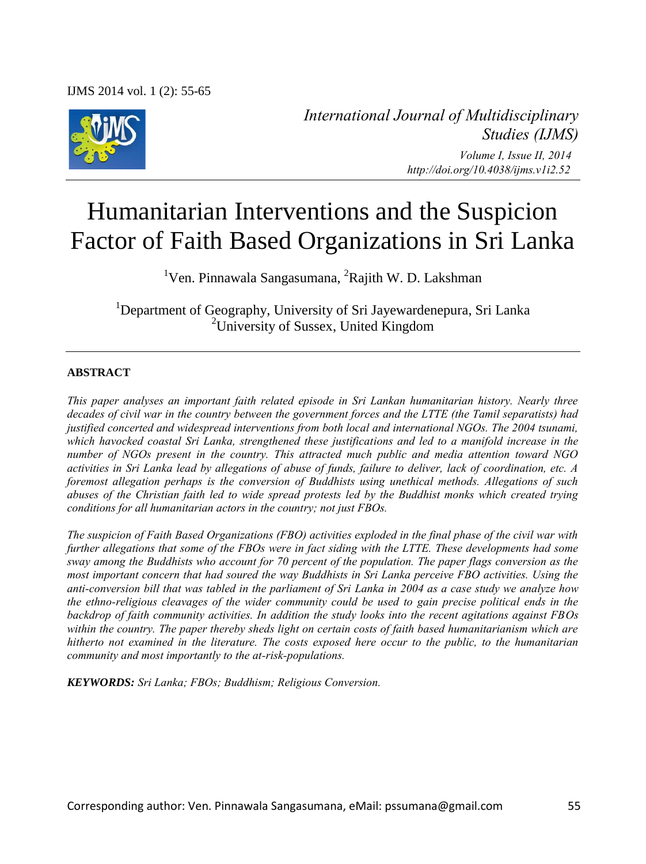IJMS 2014 vol. 1 (2): 55-65



*International Journal of Multidisciplinary Studies (IJMS) Volume I, Issue II, 2014 http://doi.org/10.4038/ijms.v1i2.52* 

# Humanitarian Interventions and the Suspicion Factor of Faith Based Organizations in Sri Lanka

<sup>1</sup>Ven. Pinnawala Sangasumana, <sup>2</sup>Rajith W. D. Lakshman

<sup>1</sup>Department of Geography, University of Sri Jayewardenepura, Sri Lanka <sup>2</sup>University of Sussex, United Kingdom

## **ABSTRACT**

*This paper analyses an important faith related episode in Sri Lankan humanitarian history. Nearly three decades of civil war in the country between the government forces and the LTTE (the Tamil separatists) had justified concerted and widespread interventions from both local and international NGOs. The 2004 tsunami, which havocked coastal Sri Lanka, strengthened these justifications and led to a manifold increase in the number of NGOs present in the country. This attracted much public and media attention toward NGO activities in Sri Lanka lead by allegations of abuse of funds, failure to deliver, lack of coordination, etc. A foremost allegation perhaps is the conversion of Buddhists using unethical methods. Allegations of such abuses of the Christian faith led to wide spread protests led by the Buddhist monks which created trying conditions for all humanitarian actors in the country; not just FBOs.* 

*The suspicion of Faith Based Organizations (FBO) activities exploded in the final phase of the civil war with further allegations that some of the FBOs were in fact siding with the LTTE. These developments had some sway among the Buddhists who account for 70 percent of the population. The paper flags conversion as the most important concern that had soured the way Buddhists in Sri Lanka perceive FBO activities. Using the anti-conversion bill that was tabled in the parliament of Sri Lanka in 2004 as a case study we analyze how the ethno-religious cleavages of the wider community could be used to gain precise political ends in the backdrop of faith community activities. In addition the study looks into the recent agitations against FBOs within the country. The paper thereby sheds light on certain costs of faith based humanitarianism which are hitherto not examined in the literature. The costs exposed here occur to the public, to the humanitarian community and most importantly to the at-risk-populations.* 

*KEYWORDS: Sri Lanka; FBOs; Buddhism; Religious Conversion.*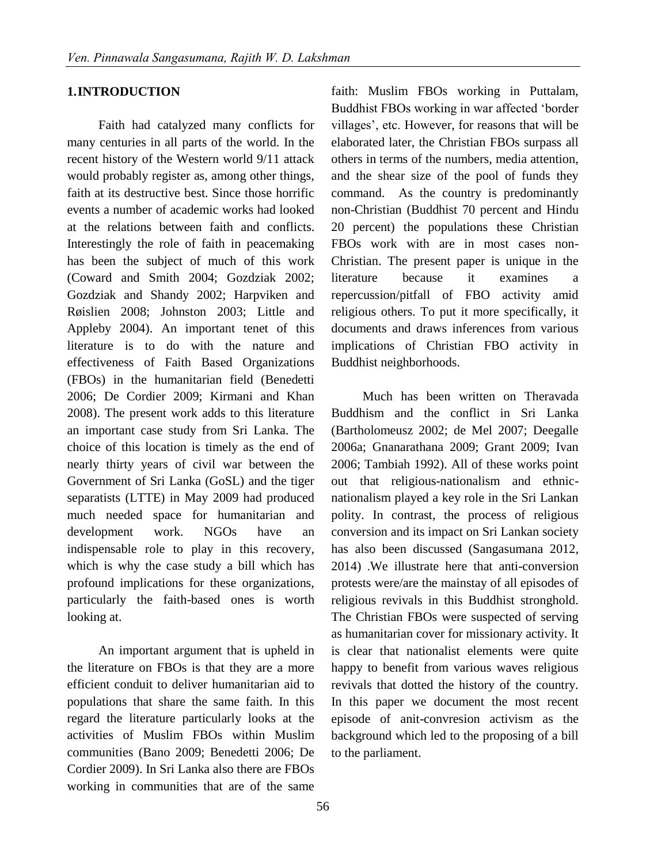### **1.INTRODUCTION**

Faith had catalyzed many conflicts for many centuries in all parts of the world. In the recent history of the Western world 9/11 attack would probably register as, among other things, faith at its destructive best. Since those horrific events a number of academic works had looked at the relations between faith and conflicts. Interestingly the role of faith in peacemaking has been the subject of much of this work (Coward and Smith 2004; Gozdziak 2002; Gozdziak and Shandy 2002; Harpviken and Røislien 2008; Johnston 2003; Little and Appleby 2004). An important tenet of this literature is to do with the nature and effectiveness of Faith Based Organizations (FBOs) in the humanitarian field (Benedetti 2006; De Cordier 2009; Kirmani and Khan 2008). The present work adds to this literature an important case study from Sri Lanka. The choice of this location is timely as the end of nearly thirty years of civil war between the Government of Sri Lanka (GoSL) and the tiger separatists (LTTE) in May 2009 had produced much needed space for humanitarian and development work. NGOs have an indispensable role to play in this recovery, which is why the case study a bill which has profound implications for these organizations, particularly the faith-based ones is worth looking at.

An important argument that is upheld in the literature on FBOs is that they are a more efficient conduit to deliver humanitarian aid to populations that share the same faith. In this regard the literature particularly looks at the activities of Muslim FBOs within Muslim communities (Bano 2009; Benedetti 2006; De Cordier 2009). In Sri Lanka also there are FBOs working in communities that are of the same

faith: Muslim FBOs working in Puttalam, Buddhist FBOs working in war affected 'border villages', etc. However, for reasons that will be elaborated later, the Christian FBOs surpass all others in terms of the numbers, media attention, and the shear size of the pool of funds they command. As the country is predominantly non-Christian (Buddhist 70 percent and Hindu 20 percent) the populations these Christian FBOs work with are in most cases non-Christian. The present paper is unique in the literature because it examines a repercussion/pitfall of FBO activity amid religious others. To put it more specifically, it documents and draws inferences from various implications of Christian FBO activity in Buddhist neighborhoods.

Much has been written on Theravada Buddhism and the conflict in Sri Lanka (Bartholomeusz 2002; de Mel 2007; Deegalle 2006a; Gnanarathana 2009; Grant 2009; Ivan 2006; Tambiah 1992). All of these works point out that religious-nationalism and ethnicnationalism played a key role in the Sri Lankan polity. In contrast, the process of religious conversion and its impact on Sri Lankan society has also been discussed (Sangasumana 2012, 2014) .We illustrate here that anti-conversion protests were/are the mainstay of all episodes of religious revivals in this Buddhist stronghold. The Christian FBOs were suspected of serving as humanitarian cover for missionary activity. It is clear that nationalist elements were quite happy to benefit from various waves religious revivals that dotted the history of the country. In this paper we document the most recent episode of anit-convresion activism as the background which led to the proposing of a bill to the parliament.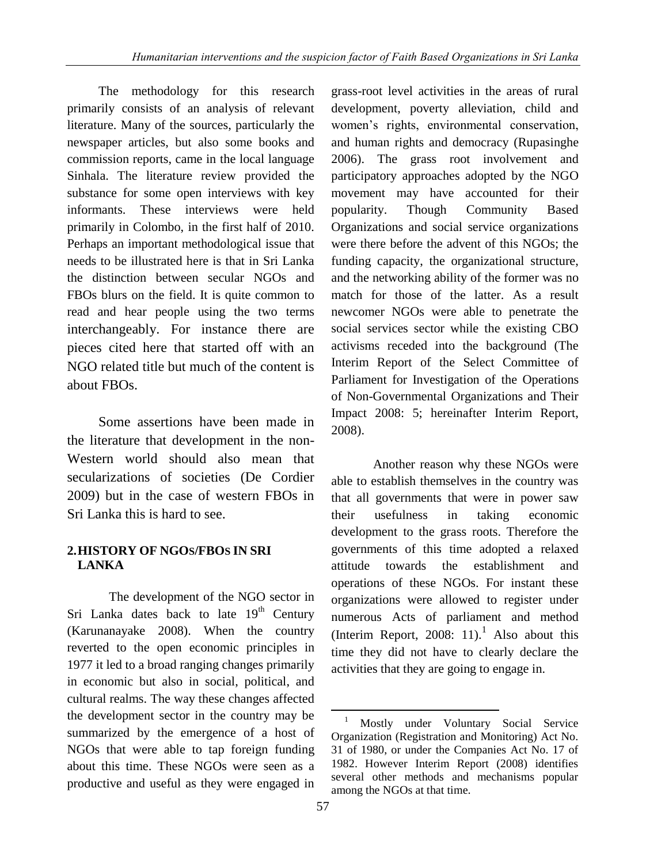The methodology for this research primarily consists of an analysis of relevant literature. Many of the sources, particularly the newspaper articles, but also some books and commission reports, came in the local language Sinhala. The literature review provided the substance for some open interviews with key informants. These interviews were held primarily in Colombo, in the first half of 2010. Perhaps an important methodological issue that needs to be illustrated here is that in Sri Lanka the distinction between secular NGOs and FBOs blurs on the field. It is quite common to read and hear people using the two terms interchangeably. For instance there are pieces cited here that started off with an NGO related title but much of the content is about FBOs.

Some assertions have been made in the literature that development in the non-Western world should also mean that secularizations of societies (De Cordier 2009) but in the case of western FBOs in Sri Lanka this is hard to see.

## **2.HISTORY OF NGOS/FBOS IN SRI LANKA**

The development of the NGO sector in Sri Lanka dates back to late  $19<sup>th</sup>$  Century (Karunanayake 2008). When the country reverted to the open economic principles in 1977 it led to a broad ranging changes primarily in economic but also in social, political, and cultural realms. The way these changes affected the development sector in the country may be summarized by the emergence of a host of NGOs that were able to tap foreign funding about this time. These NGOs were seen as a productive and useful as they were engaged in grass-root level activities in the areas of rural development, poverty alleviation, child and women's rights, environmental conservation, and human rights and democracy (Rupasinghe 2006). The grass root involvement and participatory approaches adopted by the NGO movement may have accounted for their popularity. Though Community Based Organizations and social service organizations were there before the advent of this NGOs; the funding capacity, the organizational structure, and the networking ability of the former was no match for those of the latter. As a result newcomer NGOs were able to penetrate the social services sector while the existing CBO activisms receded into the background (The Interim Report of the Select Committee of Parliament for Investigation of the Operations of Non-Governmental Organizations and Their Impact 2008: 5; hereinafter Interim Report, 2008).

Another reason why these NGOs were able to establish themselves in the country was that all governments that were in power saw their usefulness in taking economic development to the grass roots. Therefore the governments of this time adopted a relaxed attitude towards the establishment and operations of these NGOs. For instant these organizations were allowed to register under numerous Acts of parliament and method (Interim Report, 2008: 11).<sup>1</sup> Also about this time they did not have to clearly declare the activities that they are going to engage in.

 $\overline{\phantom{a}}$ 

<sup>1</sup> Mostly under Voluntary Social Service Organization (Registration and Monitoring) Act No. 31 of 1980, or under the Companies Act No. 17 of 1982. However Interim Report (2008) identifies several other methods and mechanisms popular among the NGOs at that time.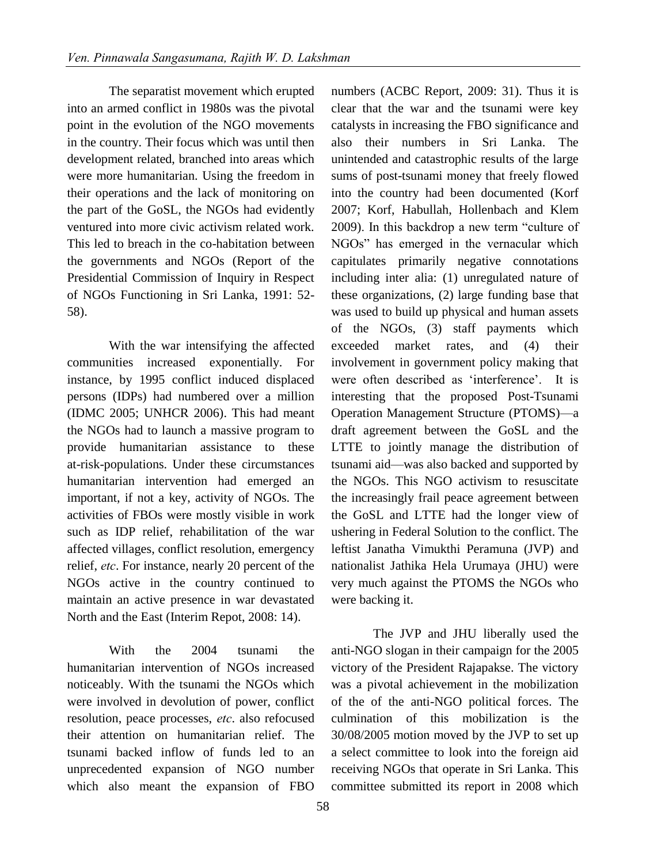The separatist movement which erupted into an armed conflict in 1980s was the pivotal point in the evolution of the NGO movements in the country. Their focus which was until then development related, branched into areas which were more humanitarian. Using the freedom in their operations and the lack of monitoring on the part of the GoSL, the NGOs had evidently ventured into more civic activism related work. This led to breach in the co-habitation between the governments and NGOs (Report of the Presidential Commission of Inquiry in Respect of NGOs Functioning in Sri Lanka, 1991: 52- 58).

With the war intensifying the affected communities increased exponentially. For instance, by 1995 conflict induced displaced persons (IDPs) had numbered over a million (IDMC 2005; UNHCR 2006). This had meant the NGOs had to launch a massive program to provide humanitarian assistance to these at-risk-populations. Under these circumstances humanitarian intervention had emerged an important, if not a key, activity of NGOs. The activities of FBOs were mostly visible in work such as IDP relief, rehabilitation of the war affected villages, conflict resolution, emergency relief, *etc*. For instance, nearly 20 percent of the NGOs active in the country continued to maintain an active presence in war devastated North and the East (Interim Repot, 2008: 14).

With the 2004 tsunami the humanitarian intervention of NGOs increased noticeably. With the tsunami the NGOs which were involved in devolution of power, conflict resolution, peace processes, *etc*. also refocused their attention on humanitarian relief. The tsunami backed inflow of funds led to an unprecedented expansion of NGO number which also meant the expansion of FBO

numbers (ACBC Report, 2009: 31). Thus it is clear that the war and the tsunami were key catalysts in increasing the FBO significance and also their numbers in Sri Lanka. The unintended and catastrophic results of the large sums of post-tsunami money that freely flowed into the country had been documented (Korf 2007; Korf, Habullah, Hollenbach and Klem 2009). In this backdrop a new term "culture of NGOs" has emerged in the vernacular which capitulates primarily negative connotations including inter alia: (1) unregulated nature of these organizations, (2) large funding base that was used to build up physical and human assets of the NGOs, (3) staff payments which exceeded market rates, and (4) their involvement in government policy making that were often described as 'interference'. It is interesting that the proposed Post-Tsunami Operation Management Structure (PTOMS)—a draft agreement between the GoSL and the LTTE to jointly manage the distribution of tsunami aid—was also backed and supported by the NGOs. This NGO activism to resuscitate the increasingly frail peace agreement between the GoSL and LTTE had the longer view of ushering in Federal Solution to the conflict. The leftist Janatha Vimukthi Peramuna (JVP) and nationalist Jathika Hela Urumaya (JHU) were very much against the PTOMS the NGOs who were backing it.

The JVP and JHU liberally used the anti-NGO slogan in their campaign for the 2005 victory of the President Rajapakse. The victory was a pivotal achievement in the mobilization of the of the anti-NGO political forces. The culmination of this mobilization is the 30/08/2005 motion moved by the JVP to set up a select committee to look into the foreign aid receiving NGOs that operate in Sri Lanka. This committee submitted its report in 2008 which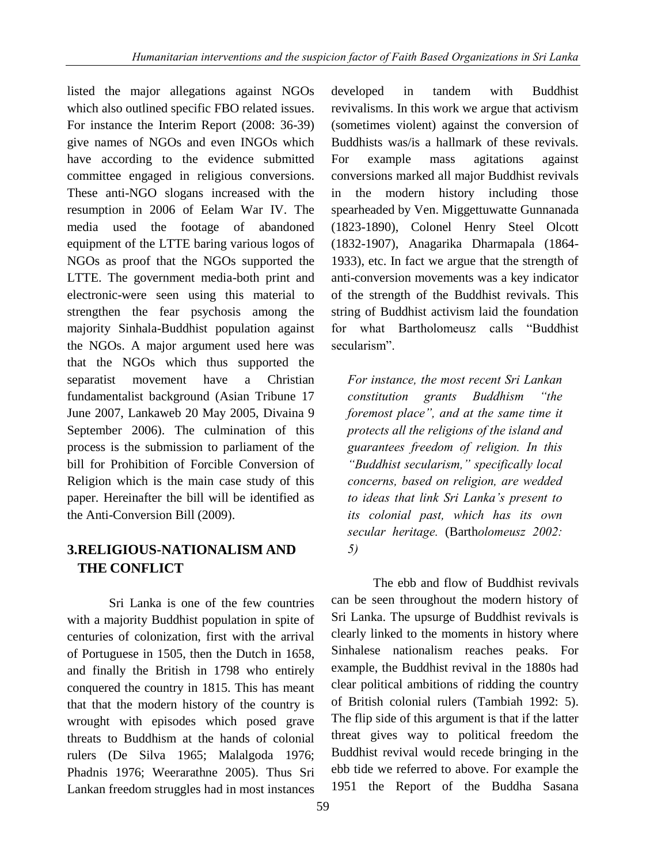listed the major allegations against NGOs which also outlined specific FBO related issues. For instance the Interim Report (2008: 36-39) give names of NGOs and even INGOs which have according to the evidence submitted committee engaged in religious conversions. These anti-NGO slogans increased with the resumption in 2006 of Eelam War IV. The media used the footage of abandoned equipment of the LTTE baring various logos of NGOs as proof that the NGOs supported the LTTE. The government media-both print and electronic-were seen using this material to strengthen the fear psychosis among the majority Sinhala-Buddhist population against the NGOs. A major argument used here was that the NGOs which thus supported the separatist movement have a Christian fundamentalist background (Asian Tribune 17 June 2007, Lankaweb 20 May 2005, Divaina 9 September 2006). The culmination of this process is the submission to parliament of the bill for Prohibition of Forcible Conversion of Religion which is the main case study of this paper. Hereinafter the bill will be identified as the Anti-Conversion Bill (2009).

# **3.RELIGIOUS-NATIONALISM AND THE CONFLICT**

Sri Lanka is one of the few countries with a majority Buddhist population in spite of centuries of colonization, first with the arrival of Portuguese in 1505, then the Dutch in 1658, and finally the British in 1798 who entirely conquered the country in 1815. This has meant that that the modern history of the country is wrought with episodes which posed grave threats to Buddhism at the hands of colonial rulers (De Silva 1965; Malalgoda 1976; Phadnis 1976; Weerarathne 2005). Thus Sri Lankan freedom struggles had in most instances

developed in tandem with Buddhist revivalisms. In this work we argue that activism (sometimes violent) against the conversion of Buddhists was/is a hallmark of these revivals. For example mass agitations against conversions marked all major Buddhist revivals in the modern history including those spearheaded by Ven. Miggettuwatte Gunnanada (1823-1890), Colonel Henry Steel Olcott (1832-1907), Anagarika Dharmapala (1864- 1933), etc. In fact we argue that the strength of anti-conversion movements was a key indicator of the strength of the Buddhist revivals. This string of Buddhist activism laid the foundation for what Bartholomeusz calls "Buddhist secularism".

*For instance, the most recent Sri Lankan constitution grants Buddhism "the foremost place", and at the same time it protects all the religions of the island and guarantees freedom of religion. In this "Buddhist secularism," specifically local concerns, based on religion, are wedded to ideas that link Sri Lanka's present to its colonial past, which has its own secular heritage.* (Barth*olomeusz 2002: 5)* 

The ebb and flow of Buddhist revivals can be seen throughout the modern history of Sri Lanka. The upsurge of Buddhist revivals is clearly linked to the moments in history where Sinhalese nationalism reaches peaks. For example, the Buddhist revival in the 1880s had clear political ambitions of ridding the country of British colonial rulers (Tambiah 1992: 5). The flip side of this argument is that if the latter threat gives way to political freedom the Buddhist revival would recede bringing in the ebb tide we referred to above. For example the 1951 the Report of the Buddha Sasana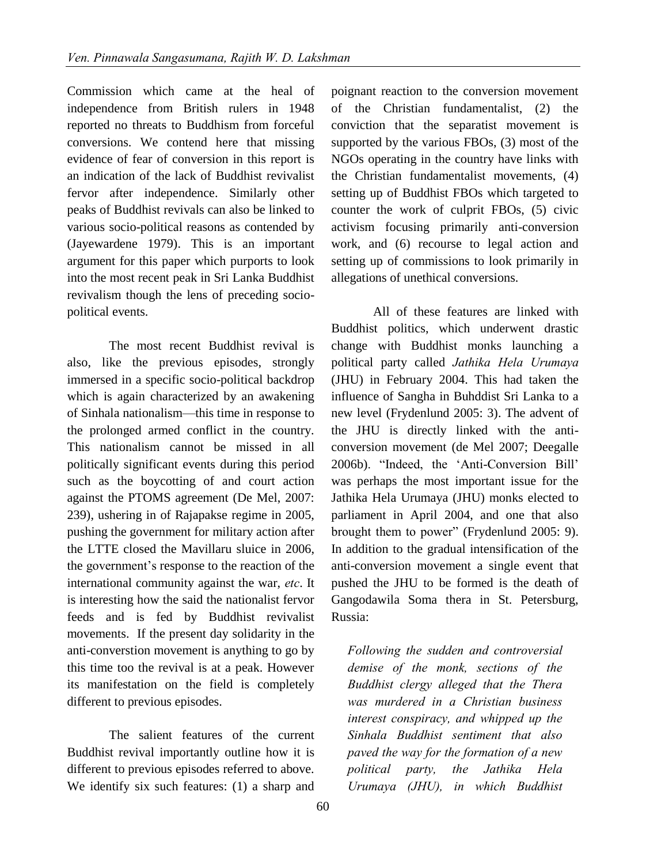Commission which came at the heal of independence from British rulers in 1948 reported no threats to Buddhism from forceful conversions. We contend here that missing evidence of fear of conversion in this report is an indication of the lack of Buddhist revivalist fervor after independence. Similarly other peaks of Buddhist revivals can also be linked to various socio-political reasons as contended by (Jayewardene 1979). This is an important argument for this paper which purports to look into the most recent peak in Sri Lanka Buddhist revivalism though the lens of preceding sociopolitical events.

The most recent Buddhist revival is also, like the previous episodes, strongly immersed in a specific socio-political backdrop which is again characterized by an awakening of Sinhala nationalism—this time in response to the prolonged armed conflict in the country. This nationalism cannot be missed in all politically significant events during this period such as the boycotting of and court action against the PTOMS agreement (De Mel, 2007: 239), ushering in of Rajapakse regime in 2005, pushing the government for military action after the LTTE closed the Mavillaru sluice in 2006, the government's response to the reaction of the international community against the war, *etc*. It is interesting how the said the nationalist fervor feeds and is fed by Buddhist revivalist movements. If the present day solidarity in the anti-converstion movement is anything to go by this time too the revival is at a peak. However its manifestation on the field is completely different to previous episodes.

The salient features of the current Buddhist revival importantly outline how it is different to previous episodes referred to above. We identify six such features: (1) a sharp and poignant reaction to the conversion movement of the Christian fundamentalist, (2) the conviction that the separatist movement is supported by the various FBOs, (3) most of the NGOs operating in the country have links with the Christian fundamentalist movements, (4) setting up of Buddhist FBOs which targeted to counter the work of culprit FBOs, (5) civic activism focusing primarily anti-conversion work, and (6) recourse to legal action and setting up of commissions to look primarily in allegations of unethical conversions.

All of these features are linked with Buddhist politics, which underwent drastic change with Buddhist monks launching a political party called *Jathika Hela Urumaya* (JHU) in February 2004. This had taken the influence of Sangha in Buhddist Sri Lanka to a new level (Frydenlund 2005: 3). The advent of the JHU is directly linked with the anticonversion movement (de Mel 2007; Deegalle 2006b). "Indeed, the 'Anti-Conversion Bill' was perhaps the most important issue for the Jathika Hela Urumaya (JHU) monks elected to parliament in April 2004, and one that also brought them to power" (Frydenlund 2005: 9). In addition to the gradual intensification of the anti-conversion movement a single event that pushed the JHU to be formed is the death of Gangodawila Soma thera in St. Petersburg, Russia:

*Following the sudden and controversial demise of the monk, sections of the Buddhist clergy alleged that the Thera was murdered in a Christian business interest conspiracy, and whipped up the Sinhala Buddhist sentiment that also paved the way for the formation of a new political party, the Jathika Hela Urumaya (JHU), in which Buddhist*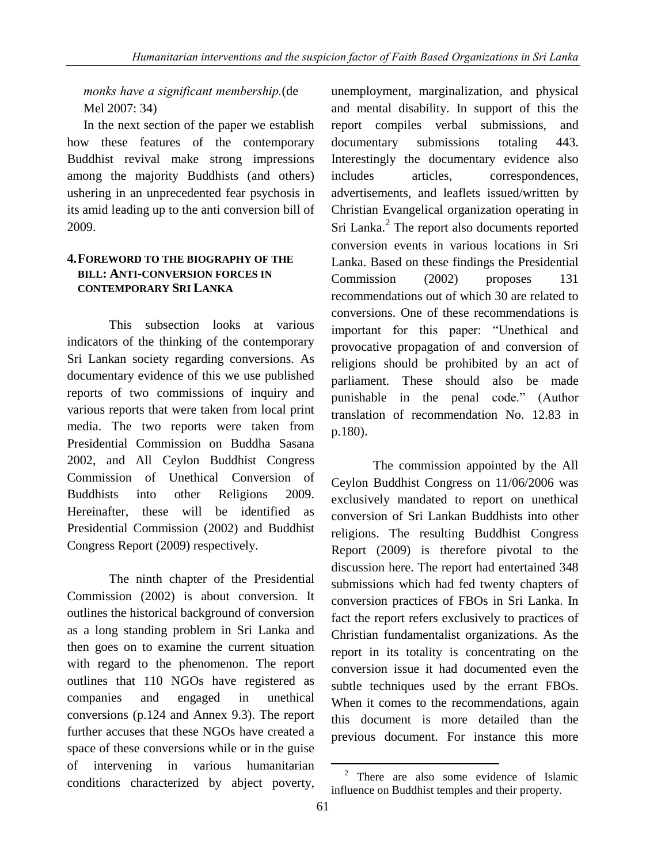# *monks have a significant membership.*(de Mel 2007: 34)

In the next section of the paper we establish how these features of the contemporary Buddhist revival make strong impressions among the majority Buddhists (and others) ushering in an unprecedented fear psychosis in its amid leading up to the anti conversion bill of 2009.

## **4.FOREWORD TO THE BIOGRAPHY OF THE BILL: ANTI-CONVERSION FORCES IN CONTEMPORARY SRI LANKA**

This subsection looks at various indicators of the thinking of the contemporary Sri Lankan society regarding conversions. As documentary evidence of this we use published reports of two commissions of inquiry and various reports that were taken from local print media. The two reports were taken from Presidential Commission on Buddha Sasana 2002, and All Ceylon Buddhist Congress Commission of Unethical Conversion of Buddhists into other Religions 2009. Hereinafter, these will be identified as Presidential Commission (2002) and Buddhist Congress Report (2009) respectively.

The ninth chapter of the Presidential Commission (2002) is about conversion. It outlines the historical background of conversion as a long standing problem in Sri Lanka and then goes on to examine the current situation with regard to the phenomenon. The report outlines that 110 NGOs have registered as companies and engaged in unethical conversions (p.124 and Annex 9.3). The report further accuses that these NGOs have created a space of these conversions while or in the guise of intervening in various humanitarian conditions characterized by abject poverty,

unemployment, marginalization, and physical and mental disability. In support of this the report compiles verbal submissions, and documentary submissions totaling 443. Interestingly the documentary evidence also includes articles, correspondences, advertisements, and leaflets issued/written by Christian Evangelical organization operating in Sri Lanka.<sup>2</sup> The report also documents reported conversion events in various locations in Sri Lanka. Based on these findings the Presidential Commission (2002) proposes 131 recommendations out of which 30 are related to conversions. One of these recommendations is important for this paper: "Unethical and provocative propagation of and conversion of religions should be prohibited by an act of parliament. These should also be made punishable in the penal code." (Author translation of recommendation No. 12.83 in p.180).

The commission appointed by the All Ceylon Buddhist Congress on 11/06/2006 was exclusively mandated to report on unethical conversion of Sri Lankan Buddhists into other religions. The resulting Buddhist Congress Report (2009) is therefore pivotal to the discussion here. The report had entertained 348 submissions which had fed twenty chapters of conversion practices of FBOs in Sri Lanka. In fact the report refers exclusively to practices of Christian fundamentalist organizations. As the report in its totality is concentrating on the conversion issue it had documented even the subtle techniques used by the errant FBOs. When it comes to the recommendations, again this document is more detailed than the previous document. For instance this more

l

<sup>2</sup> There are also some evidence of Islamic influence on Buddhist temples and their property.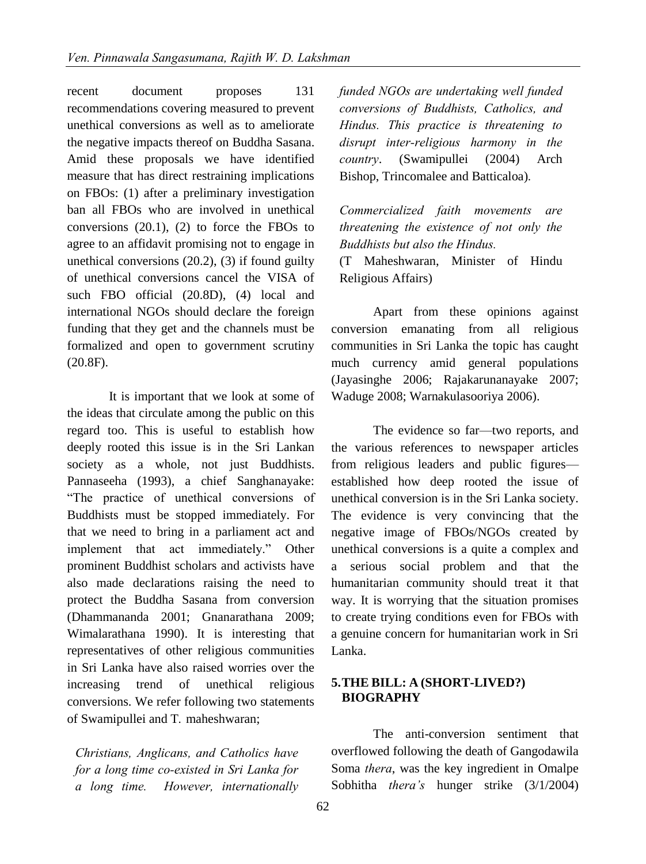recent document proposes 131 recommendations covering measured to prevent unethical conversions as well as to ameliorate the negative impacts thereof on Buddha Sasana. Amid these proposals we have identified measure that has direct restraining implications on FBOs: (1) after a preliminary investigation ban all FBOs who are involved in unethical conversions  $(20.1)$ ,  $(2)$  to force the FBOs to agree to an affidavit promising not to engage in unethical conversions (20.2), (3) if found guilty of unethical conversions cancel the VISA of such FBO official (20.8D), (4) local and international NGOs should declare the foreign funding that they get and the channels must be formalized and open to government scrutiny (20.8F).

It is important that we look at some of the ideas that circulate among the public on this regard too. This is useful to establish how deeply rooted this issue is in the Sri Lankan society as a whole, not just Buddhists. Pannaseeha (1993), a chief Sanghanayake: ―The practice of unethical conversions of Buddhists must be stopped immediately. For that we need to bring in a parliament act and implement that act immediately." Other prominent Buddhist scholars and activists have also made declarations raising the need to protect the Buddha Sasana from conversion (Dhammananda 2001; Gnanarathana 2009; Wimalarathana 1990). It is interesting that representatives of other religious communities in Sri Lanka have also raised worries over the increasing trend of unethical religious conversions. We refer following two statements of Swamipullei and T. maheshwaran;

*Christians, Anglicans, and Catholics have for a long time co-existed in Sri Lanka for a long time. However, internationally*  *funded NGOs are undertaking well funded conversions of Buddhists, Catholics, and Hindus. This practice is threatening to disrupt inter-religious harmony in the country*. (Swamipullei (2004) Arch Bishop, Trincomalee and Batticaloa).

*Commercialized faith movements are threatening the existence of not only the Buddhists but also the Hindus.* 

(T Maheshwaran, Minister of Hindu Religious Affairs)

Apart from these opinions against conversion emanating from all religious communities in Sri Lanka the topic has caught much currency amid general populations (Jayasinghe 2006; Rajakarunanayake 2007; Waduge 2008; Warnakulasooriya 2006).

 The evidence so far—two reports, and the various references to newspaper articles from religious leaders and public figures established how deep rooted the issue of unethical conversion is in the Sri Lanka society. The evidence is very convincing that the negative image of FBOs/NGOs created by unethical conversions is a quite a complex and a serious social problem and that the humanitarian community should treat it that way. It is worrying that the situation promises to create trying conditions even for FBOs with a genuine concern for humanitarian work in Sri Lanka.

#### **5.THE BILL: A (SHORT-LIVED?) BIOGRAPHY**

The anti-conversion sentiment that overflowed following the death of Gangodawila Soma *thera*, was the key ingredient in Omalpe Sobhitha *thera's* hunger strike (3/1/2004)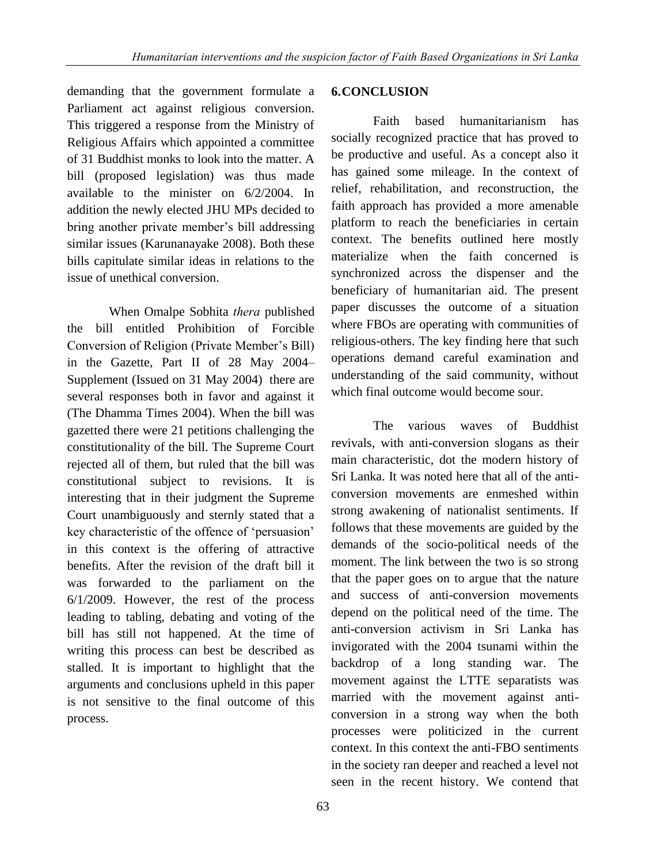demanding that the government formulate a Parliament act against religious conversion. This triggered a response from the Ministry of Religious Affairs which appointed a committee of 31 Buddhist monks to look into the matter. A bill (proposed legislation) was thus made available to the minister on 6/2/2004. In addition the newly elected JHU MPs decided to bring another private member's bill addressing similar issues (Karunanayake 2008). Both these bills capitulate similar ideas in relations to the issue of unethical conversion.

When Omalpe Sobhita *thera* published the bill entitled Prohibition of Forcible Conversion of Religion (Private Member's Bill) in the Gazette, Part II of 28 May 2004– Supplement (Issued on 31 May 2004) there are several responses both in favor and against it (The Dhamma Times 2004). When the bill was gazetted there were 21 petitions challenging the constitutionality of the bill. The Supreme Court rejected all of them, but ruled that the bill was constitutional subject to revisions. It is interesting that in their judgment the Supreme Court unambiguously and sternly stated that a key characteristic of the offence of 'persuasion' in this context is the offering of attractive benefits. After the revision of the draft bill it was forwarded to the parliament on the 6/1/2009. However, the rest of the process leading to tabling, debating and voting of the bill has still not happened. At the time of writing this process can best be described as stalled. It is important to highlight that the arguments and conclusions upheld in this paper is not sensitive to the final outcome of this process.

#### **6.CONCLUSION**

Faith based humanitarianism has socially recognized practice that has proved to be productive and useful. As a concept also it has gained some mileage. In the context of relief, rehabilitation, and reconstruction, the faith approach has provided a more amenable platform to reach the beneficiaries in certain context. The benefits outlined here mostly materialize when the faith concerned is synchronized across the dispenser and the beneficiary of humanitarian aid. The present paper discusses the outcome of a situation where FBOs are operating with communities of religious-others. The key finding here that such operations demand careful examination and understanding of the said community, without which final outcome would become sour.

The various waves of Buddhist revivals, with anti-conversion slogans as their main characteristic, dot the modern history of Sri Lanka. It was noted here that all of the anticonversion movements are enmeshed within strong awakening of nationalist sentiments. If follows that these movements are guided by the demands of the socio-political needs of the moment. The link between the two is so strong that the paper goes on to argue that the nature and success of anti-conversion movements depend on the political need of the time. The anti-conversion activism in Sri Lanka has invigorated with the 2004 tsunami within the backdrop of a long standing war. The movement against the LTTE separatists was married with the movement against anticonversion in a strong way when the both processes were politicized in the current context. In this context the anti-FBO sentiments in the society ran deeper and reached a level not seen in the recent history. We contend that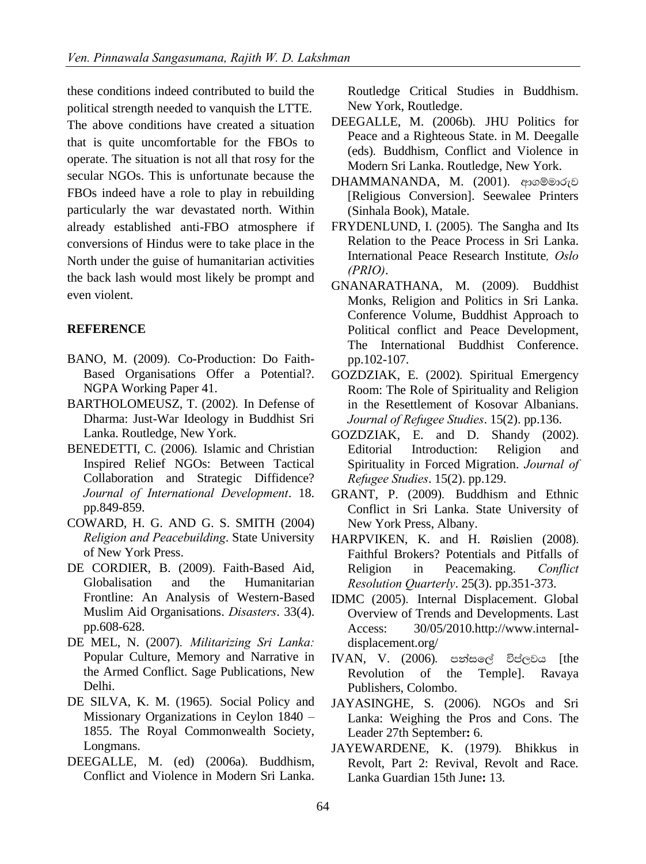these conditions indeed contributed to build the political strength needed to vanquish the LTTE. The above conditions have created a situation that is quite uncomfortable for the FBOs to operate. The situation is not all that rosy for the secular NGOs. This is unfortunate because the FBOs indeed have a role to play in rebuilding particularly the war devastated north. Within already established anti-FBO atmosphere if conversions of Hindus were to take place in the North under the guise of humanitarian activities the back lash would most likely be prompt and even violent.

## **REFERENCE**

- BANO, M. (2009). Co-Production: Do Faith-Based Organisations Offer a Potential?. NGPA Working Paper 41.
- BARTHOLOMEUSZ, T. (2002). In Defense of Dharma: Just-War Ideology in Buddhist Sri Lanka. Routledge, New York.
- BENEDETTI, C. (2006). Islamic and Christian Inspired Relief NGOs: Between Tactical Collaboration and Strategic Diffidence? *Journal of International Development*. 18. pp.849-859.
- COWARD, H. G. AND G. S. SMITH (2004) *Religion and Peacebuilding*. State University of New York Press.
- DE CORDIER, B. (2009). Faith-Based Aid, Globalisation and the Humanitarian Frontline: An Analysis of Western-Based Muslim Aid Organisations. *Disasters*. 33(4). pp.608-628.
- DE MEL, N. (2007). *Militarizing Sri Lanka*: Popular Culture, Memory and Narrative in the Armed Conflict. Sage Publications, New Delhi.
- DE SILVA, K. M. (1965). Social Policy and Missionary Organizations in Ceylon 1840 – 1855. The Royal Commonwealth Society, Longmans.
- DEEGALLE, M. (ed) (2006a). Buddhism, Conflict and Violence in Modern Sri Lanka.

Routledge Critical Studies in Buddhism. New York, Routledge.

- DEEGALLE, M. (2006b). JHU Politics for Peace and a Righteous State. in M. Deegalle (eds)' Buddhism, Conflict and Violence in Modern Sri Lanka. Routledge, New York.
- $DHAMMANANDA, M. (2001)$ . ආගම්මාරුව [Religious Conversion]. Seewalee Printers (Sinhala Book), Matale.
- FRYDENLUND, I. (2005). The Sangha and Its Relation to the Peace Process in Sri Lanka. International Peace Research Institute*, Oslo (PRIO)*.
- GNANARATHANA, M. (2009). Buddhist Monks, Religion and Politics in Sri Lanka. Conference Volume, Buddhist Approach to Political conflict and Peace Development, The International Buddhist Conference. pp.102-107.
- GOZDZIAK, E. (2002). Spiritual Emergency Room: The Role of Spirituality and Religion in the Resettlement of Kosovar Albanians. *Journal of Refugee Studies*. 15(2). pp.136.
- $GOZDZIAK$ , E. and D. Shandy  $(2002)$ . Editorial Introduction: Religion and Spirituality in Forced Migration. *Journal of Refugee Studies*. 15(2). pp.129.
- GRANT, P. (2009). Buddhism and Ethnic Conflict in Sri Lanka. State University of New York Press, Albany.
- HARPVIKEN, K. and H. Røislien (2008). Faithful Brokers? Potentials and Pitfalls of Religion in Peacemaking. *Conflict Resolution Quarterly*. 25(3). pp.351-373.
- IDMC (2005). Internal Displacement. Global Overview of Trends and Developments. Last Access: 30/05/201[0.http://www.internal](http://www.internal-displacement.org/)[displacement.org/](http://www.internal-displacement.org/)
- IVAN, V. (2006). පන්සලේ විප්ලවය [the Revolution of the Temple]. Ravaya Publishers, Colombo.
- JAYASINGHE, S. (2006). NGOs and Sri Lanka: Weighing the Pros and Cons. The Leader 27th September**:** 6.
- JAYEWARDENE, K. (1979). Bhikkus in Revolt, Part 2: Revival, Revolt and Race. Lanka Guardian 15th June**:** 13.